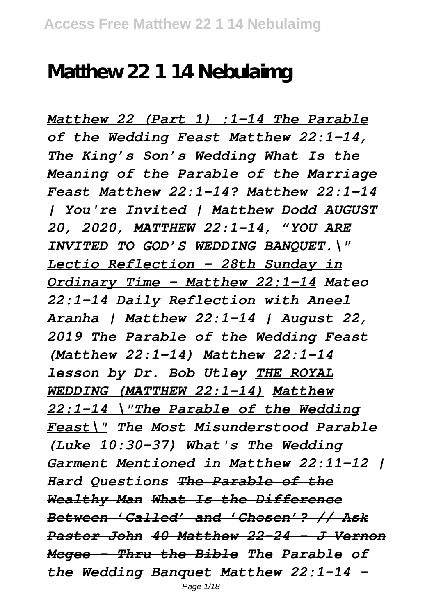## **Matthew 22 1 14 Nebulaimg**

*Matthew 22 (Part 1) :1-14 The Parable of the Wedding Feast Matthew 22:1-14, The King's Son's Wedding What Is the Meaning of the Parable of the Marriage Feast Matthew 22:1-14? Matthew 22:1-14 | You're Invited | Matthew Dodd AUGUST 20, 2020, MATTHEW 22:1-14, "YOU ARE INVITED TO GOD'S WEDDING BANQUET.\" Lectio Reflection - 28th Sunday in Ordinary Time - Matthew 22:1-14 Mateo 22:1-14 Daily Reflection with Aneel Aranha | Matthew 22:1-14 | August 22, 2019 The Parable of the Wedding Feast (Matthew 22:1-14) Matthew 22:1-14 lesson by Dr. Bob Utley THE ROYAL WEDDING (MATTHEW 22:1-14) Matthew 22:1-14 \"The Parable of the Wedding Feast\" The Most Misunderstood Parable (Luke 10:30–37) What's The Wedding Garment Mentioned in Matthew 22:11-12 | Hard Questions The Parable of the Wealthy Man What Is the Difference Between 'Called' and 'Chosen'? // Ask Pastor John 40 Matthew 22-24 - J Vernon Mcgee - Thru the Bible The Parable of the Wedding Banquet Matthew 22:1-14 -*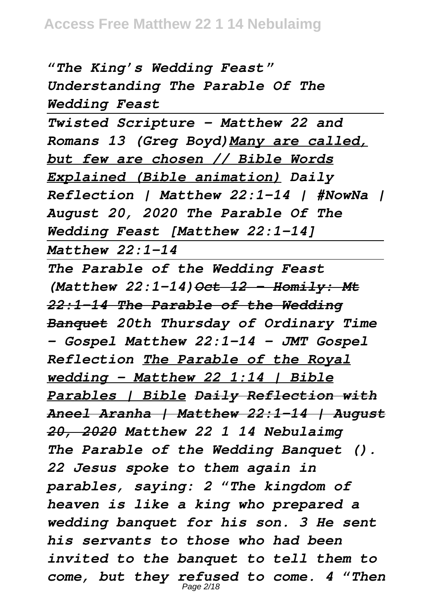*"The King's Wedding Feast" Understanding The Parable Of The Wedding Feast*

*Twisted Scripture - Matthew 22 and Romans 13 (Greg Boyd)Many are called, but few are chosen // Bible Words Explained (Bible animation) Daily Reflection | Matthew 22:1-14 | #NowNa | August 20, 2020 The Parable Of The Wedding Feast [Matthew 22:1-14] Matthew 22:1-14*

*The Parable of the Wedding Feast (Matthew 22:1-14) Oct 12 - Homily: Mt 22:1-14 The Parable of the Wedding Banquet 20th Thursday of Ordinary Time – Gospel Matthew 22:1-14 - JMT Gospel Reflection The Parable of the Royal wedding - Matthew 22 1:14 | Bible Parables | Bible Daily Reflection with Aneel Aranha | Matthew 22:1-14 | August 20, 2020 Matthew 22 1 14 Nebulaimg The Parable of the Wedding Banquet (). 22 Jesus spoke to them again in parables, saying: 2 "The kingdom of heaven is like a king who prepared a wedding banquet for his son. 3 He sent his servants to those who had been invited to the banquet to tell them to come, but they refused to come. 4 "Then* Page 2/18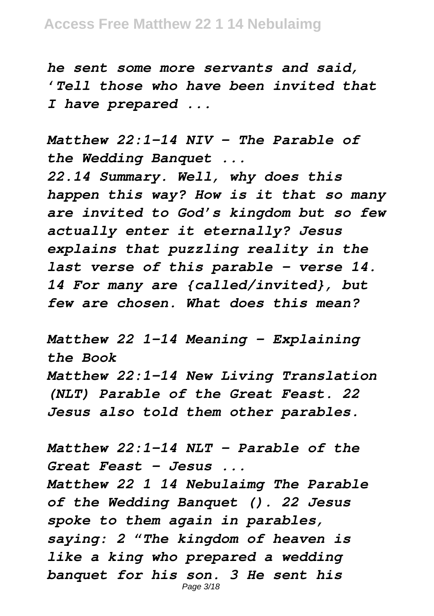*he sent some more servants and said, 'Tell those who have been invited that I have prepared ...*

*Matthew 22:1-14 NIV - The Parable of the Wedding Banquet ...*

*22.14 Summary. Well, why does this happen this way? How is it that so many are invited to God's kingdom but so few actually enter it eternally? Jesus explains that puzzling reality in the last verse of this parable – verse 14. 14 For many are {called/invited}, but few are chosen. What does this mean?*

*Matthew 22 1-14 Meaning - Explaining the Book Matthew 22:1-14 New Living Translation (NLT) Parable of the Great Feast. 22 Jesus also told them other parables.*

*Matthew 22:1-14 NLT - Parable of the Great Feast - Jesus ...*

*Matthew 22 1 14 Nebulaimg The Parable of the Wedding Banquet (). 22 Jesus spoke to them again in parables, saying: 2 "The kingdom of heaven is like a king who prepared a wedding banquet for his son. 3 He sent his* Page 3/18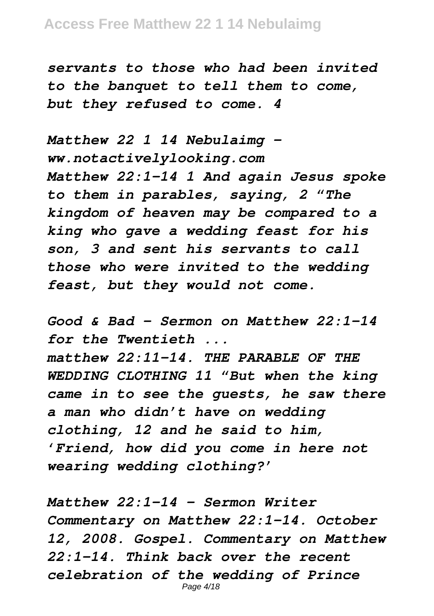*servants to those who had been invited to the banquet to tell them to come, but they refused to come. 4*

*Matthew 22 1 14 Nebulaimg ww.notactivelylooking.com Matthew 22:1-14 1 And again Jesus spoke to them in parables, saying, 2 "The kingdom of heaven may be compared to a king who gave a wedding feast for his son, 3 and sent his servants to call those who were invited to the wedding feast, but they would not come.*

*Good & Bad – Sermon on Matthew 22:1-14 for the Twentieth ... matthew 22:11-14. THE PARABLE OF THE WEDDING CLOTHING 11 "But when the king came in to see the guests, he saw there a man who didn't have on wedding clothing, 12 and he said to him, 'Friend, how did you come in here not wearing wedding clothing?'*

*Matthew 22:1-14 – Sermon Writer Commentary on Matthew 22:1-14. October 12, 2008. Gospel. Commentary on Matthew 22:1-14. Think back over the recent celebration of the wedding of Prince* Page 4/18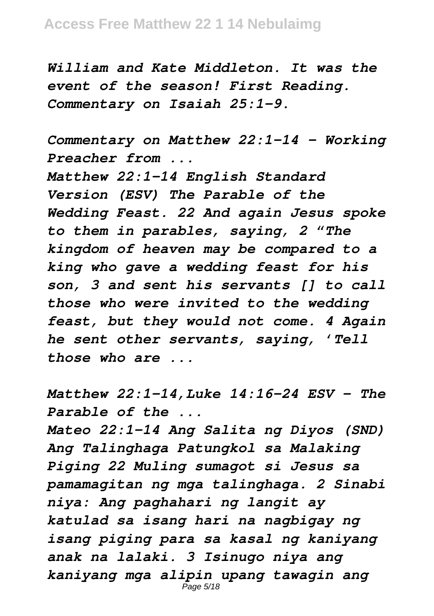*William and Kate Middleton. It was the event of the season! First Reading. Commentary on Isaiah 25:1-9.*

*Commentary on Matthew 22:1-14 - Working Preacher from ...*

*Matthew 22:1-14 English Standard Version (ESV) The Parable of the Wedding Feast. 22 And again Jesus spoke to them in parables, saying, 2 "The kingdom of heaven may be compared to a king who gave a wedding feast for his son, 3 and sent his servants [] to call those who were invited to the wedding feast, but they would not come. 4 Again he sent other servants, saying, 'Tell those who are ...*

*Matthew 22:1-14,Luke 14:16-24 ESV - The Parable of the ...*

*Mateo 22:1-14 Ang Salita ng Diyos (SND) Ang Talinghaga Patungkol sa Malaking Piging 22 Muling sumagot si Jesus sa pamamagitan ng mga talinghaga. 2 Sinabi niya: Ang paghahari ng langit ay katulad sa isang hari na nagbigay ng isang piging para sa kasal ng kaniyang anak na lalaki. 3 Isinugo niya ang kaniyang mga alipin upang tawagin ang*  $\bar{P}$ age 5/18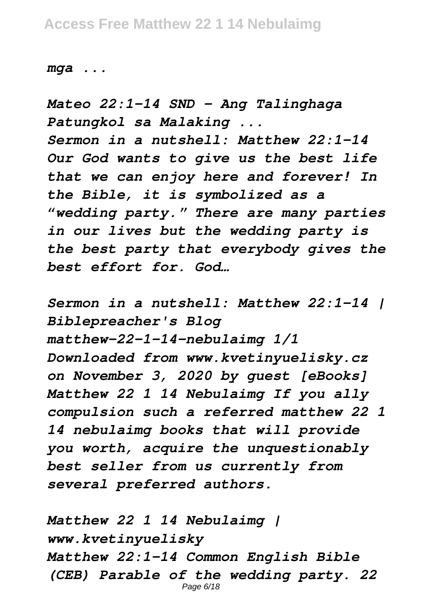*mga ...*

*Mateo 22:1-14 SND - Ang Talinghaga Patungkol sa Malaking ... Sermon in a nutshell: Matthew 22:1-14 Our God wants to give us the best life that we can enjoy here and forever! In the Bible, it is symbolized as a "wedding party." There are many parties in our lives but the wedding party is the best party that everybody gives the best effort for. God…*

*Sermon in a nutshell: Matthew 22:1-14 | Biblepreacher's Blog matthew-22-1-14-nebulaimg 1/1 Downloaded from www.kvetinyuelisky.cz on November 3, 2020 by guest [eBooks] Matthew 22 1 14 Nebulaimg If you ally compulsion such a referred matthew 22 1 14 nebulaimg books that will provide you worth, acquire the unquestionably best seller from us currently from several preferred authors.*

*Matthew 22 1 14 Nebulaimg | www.kvetinyuelisky Matthew 22:1-14 Common English Bible (CEB) Parable of the wedding party. 22* Page 6/18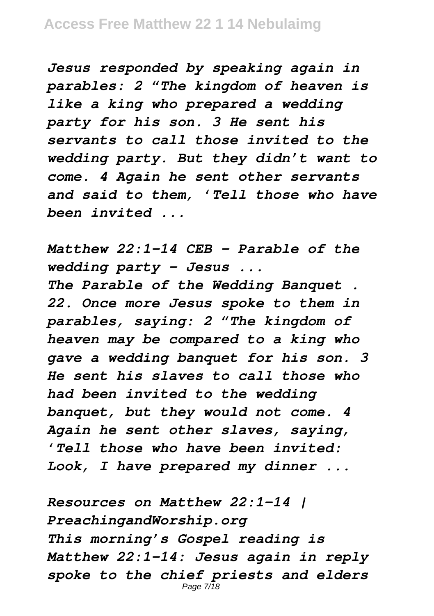*Jesus responded by speaking again in parables: 2 "The kingdom of heaven is like a king who prepared a wedding party for his son. 3 He sent his servants to call those invited to the wedding party. But they didn't want to come. 4 Again he sent other servants and said to them, 'Tell those who have been invited ...*

*Matthew 22:1-14 CEB - Parable of the wedding party - Jesus ... The Parable of the Wedding Banquet . 22. Once more Jesus spoke to them in parables, saying: 2 "The kingdom of heaven may be compared to a king who gave a wedding banquet for his son. 3 He sent his slaves to call those who had been invited to the wedding banquet, but they would not come. 4 Again he sent other slaves, saying, 'Tell those who have been invited: Look, I have prepared my dinner ...*

*Resources on Matthew 22:1-14 | PreachingandWorship.org This morning's Gospel reading is Matthew 22:1–14: Jesus again in reply spoke to the chief priests and elders* Page 7/18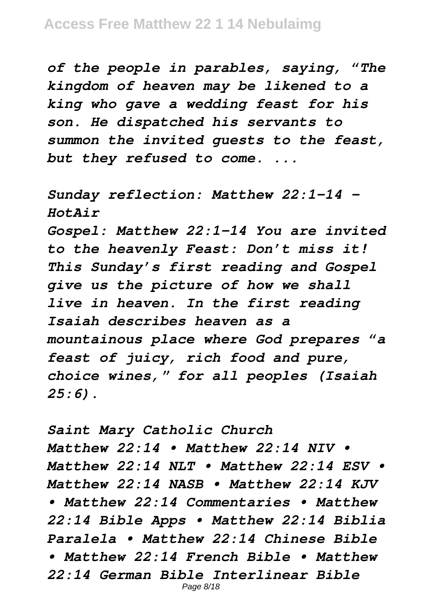*of the people in parables, saying, "The kingdom of heaven may be likened to a king who gave a wedding feast for his son. He dispatched his servants to summon the invited guests to the feast, but they refused to come. ...*

*Sunday reflection: Matthew 22:1–14 - HotAir*

*Gospel: Matthew 22:1-14 You are invited to the heavenly Feast: Don't miss it! This Sunday's first reading and Gospel give us the picture of how we shall live in heaven. In the first reading Isaiah describes heaven as a mountainous place where God prepares "a feast of juicy, rich food and pure, choice wines," for all peoples (Isaiah 25:6).*

*Saint Mary Catholic Church Matthew 22:14 • Matthew 22:14 NIV • Matthew 22:14 NLT • Matthew 22:14 ESV • Matthew 22:14 NASB • Matthew 22:14 KJV • Matthew 22:14 Commentaries • Matthew 22:14 Bible Apps • Matthew 22:14 Biblia Paralela • Matthew 22:14 Chinese Bible • Matthew 22:14 French Bible • Matthew 22:14 German Bible Interlinear Bible* Page 8/18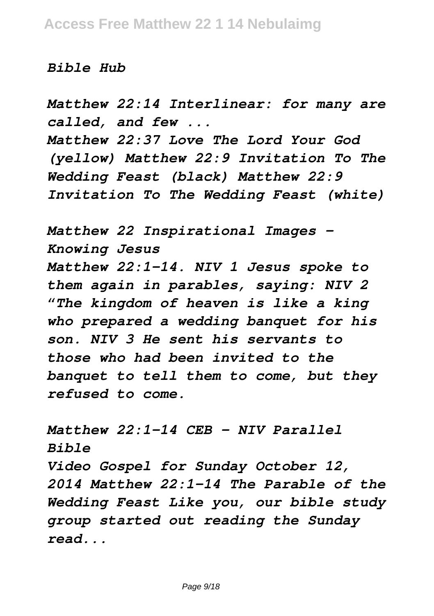## *Bible Hub*

*Matthew 22:14 Interlinear: for many are called, and few ... Matthew 22:37 Love The Lord Your God (yellow) Matthew 22:9 Invitation To The Wedding Feast (black) Matthew 22:9 Invitation To The Wedding Feast (white)*

*Matthew 22 Inspirational Images - Knowing Jesus Matthew 22:1-14. NIV 1 Jesus spoke to them again in parables, saying: NIV 2 "The kingdom of heaven is like a king who prepared a wedding banquet for his son. NIV 3 He sent his servants to those who had been invited to the banquet to tell them to come, but they refused to come.*

*Matthew 22:1-14 CEB - NIV Parallel Bible Video Gospel for Sunday October 12, 2014 Matthew 22:1-14 The Parable of the Wedding Feast Like you, our bible study group started out reading the Sunday read...*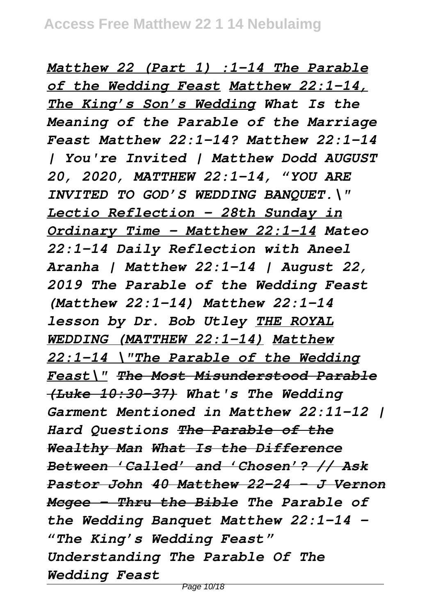*Matthew 22 (Part 1) :1-14 The Parable of the Wedding Feast Matthew 22:1-14, The King's Son's Wedding What Is the Meaning of the Parable of the Marriage Feast Matthew 22:1-14? Matthew 22:1-14 | You're Invited | Matthew Dodd AUGUST 20, 2020, MATTHEW 22:1-14, "YOU ARE INVITED TO GOD'S WEDDING BANQUET.\" Lectio Reflection - 28th Sunday in Ordinary Time - Matthew 22:1-14 Mateo 22:1-14 Daily Reflection with Aneel Aranha | Matthew 22:1-14 | August 22, 2019 The Parable of the Wedding Feast (Matthew 22:1-14) Matthew 22:1-14 lesson by Dr. Bob Utley THE ROYAL WEDDING (MATTHEW 22:1-14) Matthew 22:1-14 \"The Parable of the Wedding Feast\" The Most Misunderstood Parable (Luke 10:30–37) What's The Wedding Garment Mentioned in Matthew 22:11-12 | Hard Questions The Parable of the Wealthy Man What Is the Difference Between 'Called' and 'Chosen'? // Ask Pastor John 40 Matthew 22-24 - J Vernon Mcgee - Thru the Bible The Parable of the Wedding Banquet Matthew 22:1-14 - "The King's Wedding Feast" Understanding The Parable Of The Wedding Feast*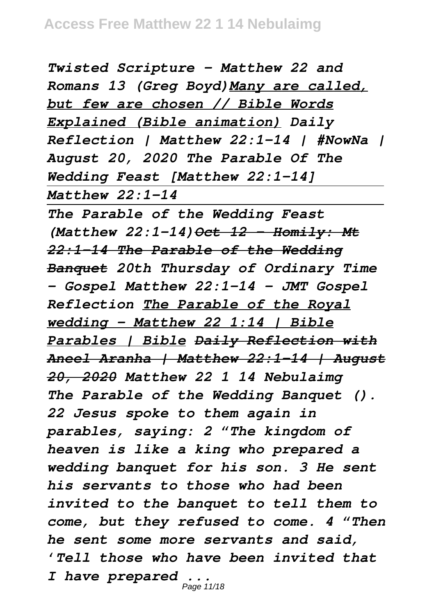*Twisted Scripture - Matthew 22 and Romans 13 (Greg Boyd)Many are called, but few are chosen // Bible Words Explained (Bible animation) Daily Reflection | Matthew 22:1-14 | #NowNa | August 20, 2020 The Parable Of The Wedding Feast [Matthew 22:1-14] Matthew 22:1-14*

*The Parable of the Wedding Feast (Matthew 22:1-14) Oct 12 - Homily: Mt 22:1-14 The Parable of the Wedding Banquet 20th Thursday of Ordinary Time – Gospel Matthew 22:1-14 - JMT Gospel Reflection The Parable of the Royal wedding - Matthew 22 1:14 | Bible Parables | Bible Daily Reflection with Aneel Aranha | Matthew 22:1-14 | August 20, 2020 Matthew 22 1 14 Nebulaimg The Parable of the Wedding Banquet (). 22 Jesus spoke to them again in parables, saying: 2 "The kingdom of heaven is like a king who prepared a wedding banquet for his son. 3 He sent his servants to those who had been invited to the banquet to tell them to come, but they refused to come. 4 "Then he sent some more servants and said, 'Tell those who have been invited that I have prepared ...* Page 11/18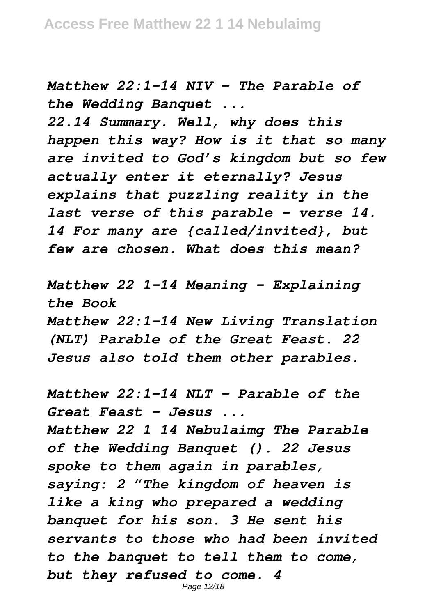*Matthew 22:1-14 NIV - The Parable of the Wedding Banquet ...*

*22.14 Summary. Well, why does this happen this way? How is it that so many are invited to God's kingdom but so few actually enter it eternally? Jesus explains that puzzling reality in the last verse of this parable – verse 14. 14 For many are {called/invited}, but few are chosen. What does this mean?*

*Matthew 22 1-14 Meaning - Explaining the Book Matthew 22:1-14 New Living Translation (NLT) Parable of the Great Feast. 22 Jesus also told them other parables.*

*Matthew 22:1-14 NLT - Parable of the Great Feast - Jesus ... Matthew 22 1 14 Nebulaimg The Parable of the Wedding Banquet (). 22 Jesus spoke to them again in parables, saying: 2 "The kingdom of heaven is like a king who prepared a wedding banquet for his son. 3 He sent his servants to those who had been invited to the banquet to tell them to come, but they refused to come. 4*

Page 12/18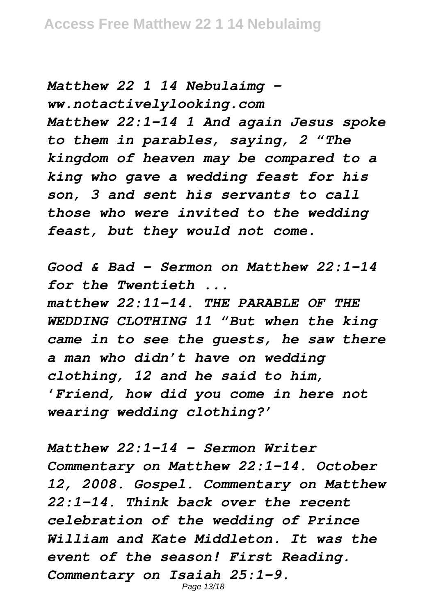*Matthew 22 1 14 Nebulaimg ww.notactivelylooking.com Matthew 22:1-14 1 And again Jesus spoke to them in parables, saying, 2 "The kingdom of heaven may be compared to a king who gave a wedding feast for his son, 3 and sent his servants to call those who were invited to the wedding feast, but they would not come.*

*Good & Bad – Sermon on Matthew 22:1-14 for the Twentieth ... matthew 22:11-14. THE PARABLE OF THE WEDDING CLOTHING 11 "But when the king came in to see the guests, he saw there a man who didn't have on wedding clothing, 12 and he said to him, 'Friend, how did you come in here not wearing wedding clothing?'*

*Matthew 22:1-14 – Sermon Writer Commentary on Matthew 22:1-14. October 12, 2008. Gospel. Commentary on Matthew 22:1-14. Think back over the recent celebration of the wedding of Prince William and Kate Middleton. It was the event of the season! First Reading. Commentary on Isaiah 25:1-9.* Page 13/18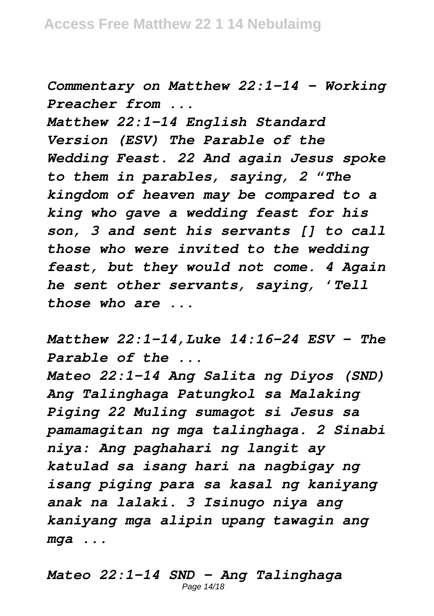*Commentary on Matthew 22:1-14 - Working Preacher from ...*

*Matthew 22:1-14 English Standard Version (ESV) The Parable of the Wedding Feast. 22 And again Jesus spoke to them in parables, saying, 2 "The kingdom of heaven may be compared to a king who gave a wedding feast for his son, 3 and sent his servants [] to call those who were invited to the wedding feast, but they would not come. 4 Again he sent other servants, saying, 'Tell those who are ...*

*Matthew 22:1-14,Luke 14:16-24 ESV - The Parable of the ...*

*Mateo 22:1-14 Ang Salita ng Diyos (SND) Ang Talinghaga Patungkol sa Malaking Piging 22 Muling sumagot si Jesus sa pamamagitan ng mga talinghaga. 2 Sinabi niya: Ang paghahari ng langit ay katulad sa isang hari na nagbigay ng isang piging para sa kasal ng kaniyang anak na lalaki. 3 Isinugo niya ang kaniyang mga alipin upang tawagin ang mga ...*

*Mateo 22:1-14 SND - Ang Talinghaga* Page 14/18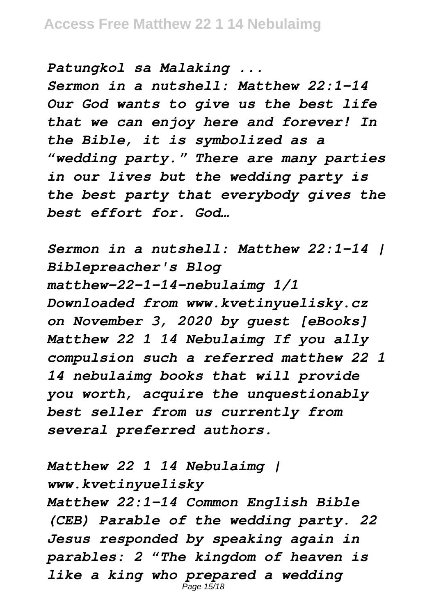*Patungkol sa Malaking ...*

*Sermon in a nutshell: Matthew 22:1-14 Our God wants to give us the best life that we can enjoy here and forever! In the Bible, it is symbolized as a "wedding party." There are many parties in our lives but the wedding party is the best party that everybody gives the best effort for. God…*

*Sermon in a nutshell: Matthew 22:1-14 | Biblepreacher's Blog matthew-22-1-14-nebulaimg 1/1 Downloaded from www.kvetinyuelisky.cz on November 3, 2020 by guest [eBooks] Matthew 22 1 14 Nebulaimg If you ally compulsion such a referred matthew 22 1 14 nebulaimg books that will provide you worth, acquire the unquestionably best seller from us currently from several preferred authors.*

*Matthew 22 1 14 Nebulaimg | www.kvetinyuelisky Matthew 22:1-14 Common English Bible (CEB) Parable of the wedding party. 22 Jesus responded by speaking again in*

*parables: 2 "The kingdom of heaven is like a king who prepared a wedding* Page 15/18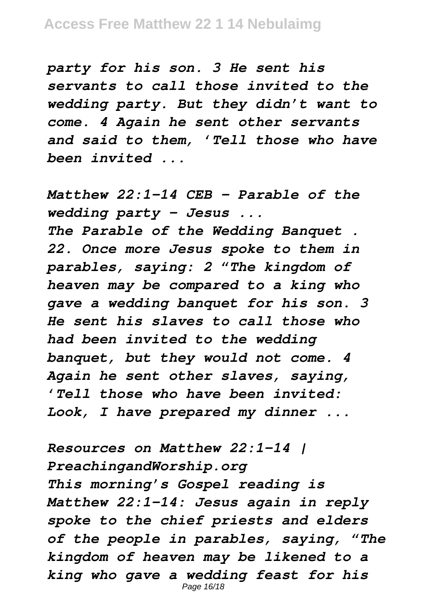*party for his son. 3 He sent his servants to call those invited to the wedding party. But they didn't want to come. 4 Again he sent other servants and said to them, 'Tell those who have been invited ...*

*Matthew 22:1-14 CEB - Parable of the wedding party - Jesus ... The Parable of the Wedding Banquet . 22. Once more Jesus spoke to them in parables, saying: 2 "The kingdom of heaven may be compared to a king who gave a wedding banquet for his son. 3 He sent his slaves to call those who had been invited to the wedding banquet, but they would not come. 4 Again he sent other slaves, saying, 'Tell those who have been invited: Look, I have prepared my dinner ...*

*Resources on Matthew 22:1-14 | PreachingandWorship.org This morning's Gospel reading is Matthew 22:1–14: Jesus again in reply spoke to the chief priests and elders of the people in parables, saying, "The kingdom of heaven may be likened to a king who gave a wedding feast for his* Page 16/18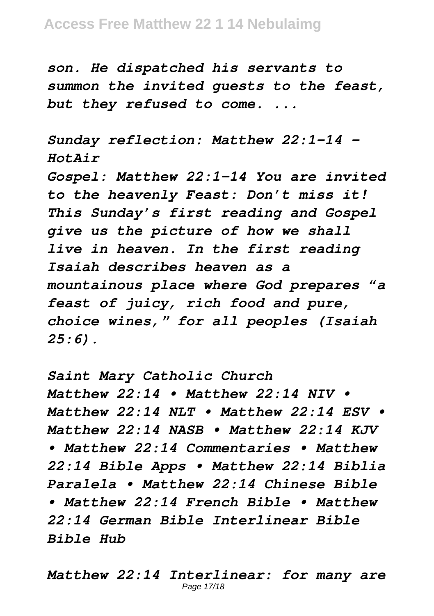*son. He dispatched his servants to summon the invited guests to the feast, but they refused to come. ...*

*Sunday reflection: Matthew 22:1–14 - HotAir Gospel: Matthew 22:1-14 You are invited to the heavenly Feast: Don't miss it! This Sunday's first reading and Gospel give us the picture of how we shall live in heaven. In the first reading Isaiah describes heaven as a mountainous place where God prepares "a feast of juicy, rich food and pure, choice wines," for all peoples (Isaiah 25:6).*

*Saint Mary Catholic Church Matthew 22:14 • Matthew 22:14 NIV • Matthew 22:14 NLT • Matthew 22:14 ESV • Matthew 22:14 NASB • Matthew 22:14 KJV • Matthew 22:14 Commentaries • Matthew 22:14 Bible Apps • Matthew 22:14 Biblia Paralela • Matthew 22:14 Chinese Bible • Matthew 22:14 French Bible • Matthew 22:14 German Bible Interlinear Bible Bible Hub*

*Matthew 22:14 Interlinear: for many are* Page 17/18